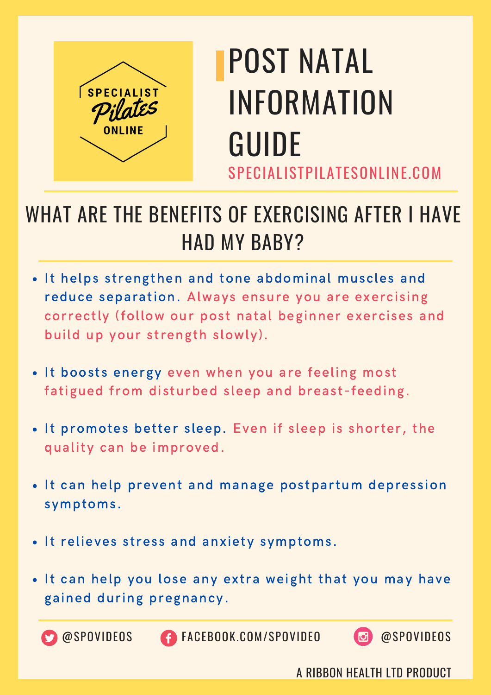

## POST NATAL INFORMATION GUIDE SPECIALISTPILATESONLINE.COM

#### WHAT ARE THE BENEFITS OF EXERCISING AFTER I HAVE HAD MY BABY?

- It helps strengthen and tone abdominal muscles and reduce separation. Always ensure you are exercising correctly (follow our post natal beginner exercises and build up your strength slowly).
- . It boosts energy even when you are feeling most fatigued from disturbed sleep and breast-feeding.
- It promotes better sleep. Even if sleep is shorter, the quality can be improved.
- . It can help prevent and manage postpartum depression symptoms.
- It relieves stress and anxiety symptoms.
- . It can help you lose any extra weight that you may have gained during pregnancy.



@SPOVIDEOS FACEBOOK.COM/SPOVIDEO @SPOVIDEOS

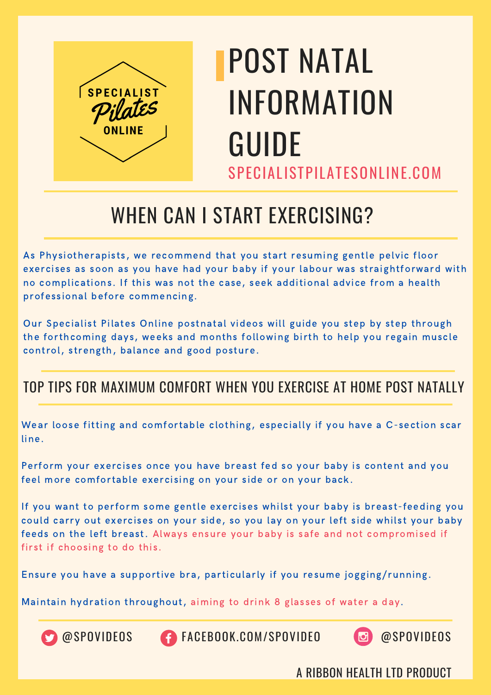

### SPECIALISTPILATESONLINE.COM POST NATAL INFORMATION GUIDE

#### WHEN CAN I START EXERCISING?

As Physiotherapists, we recommend that you start resuming gentle pelvic floor exercises as soon as you have had your baby if your labour was straightforward with no complications. If this was not the case, seek additional advice from a health professional before commencing.

Our Specialist Pilates Online postnatal videos will guide you step by step through the forthcoming days, weeks and months following birth to help you regain muscle control, strength, balance and good posture.

#### TOP TIPS FOR MAXIMUM COMFORT WHEN YOU EXERCISE AT HOME POST NATALLY

Wear loose fitting and comfortable clothing, especially if you have a C-section scar line.

Perform your exercises once you have breast fed so your baby is content and you feel more comfortable exercising on your side or on your back.

If you want to perform some gentle exercises whilst your baby is breast-feeding you could carry out exercises on your side, so you lay on your left side whilst your baby feeds on the left breast. Always ensure your baby is safe and not compromised if first if choosing to do this.

Ensure you have a supportive bra, particularly if you resume jogging/running.

Maintain hydration throughout, aiming to drink 8 glasses of water a day.



@SPOVIDEOS FACEBOOK.COM/SPOVIDEO @SPOVIDEOS

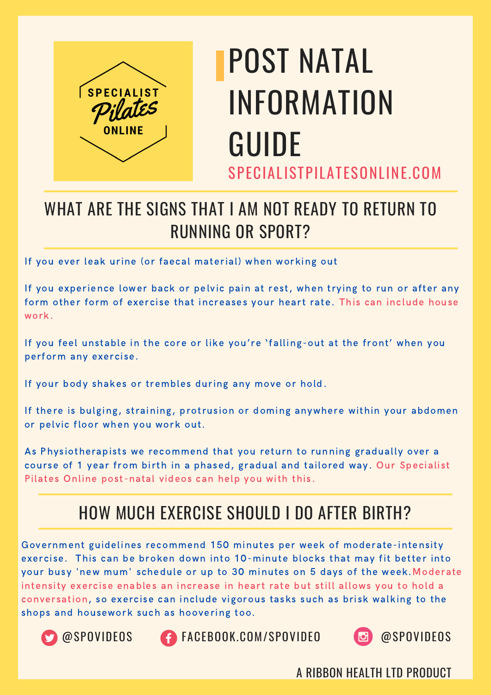

## SPECIALISTPILATESONLINE.COM POST NATAL INFORMATION GUIDE

#### WHAT ARE THE SIGNS THAT I AM NOT READY TO RETURN TO RUNNING OR SPORT?

If you ever leak urine (or faecal material) when working out

If you experience lower back or pelvic pain at rest, when trying to run or after any form other form of exercise that increases your heart rate. This can include house work.

If you feel unstable in the core or like you're 'falling-out at the front' when you perform any exercise.

If your body shakes or trembles during any move or hold.

If there is bulging, straining, protrusion or doming anywhere within your abdomen or pelvic floor when you work out.

As Physiotherapists we recommend that you return to running gradually over a course of 1 year from birth in a phased, gradual and tailored way. Our Specialist Pilates Online post-natal videos can help you with this.

#### HOW MUCH EXERCISE SHOULD I DO AFTER BIRTH?

Government guidelines recommend 150 minutes per week of moderate-intensity exercise. This can be broken down into 10-minute blocks that may fit better into your busy 'new mum' schedule or up to 30 minutes on 5 days of the week.Moderate intensity exercise enables an increase in heart rate but still allows you to hold a conversation, so exercise can include vigorous tasks such as brisk walking to the shops and housework such as hoovering too.





@SPOVIDEOS FACEBOOK.COM/SPOVIDEO @SPOVIDEOS

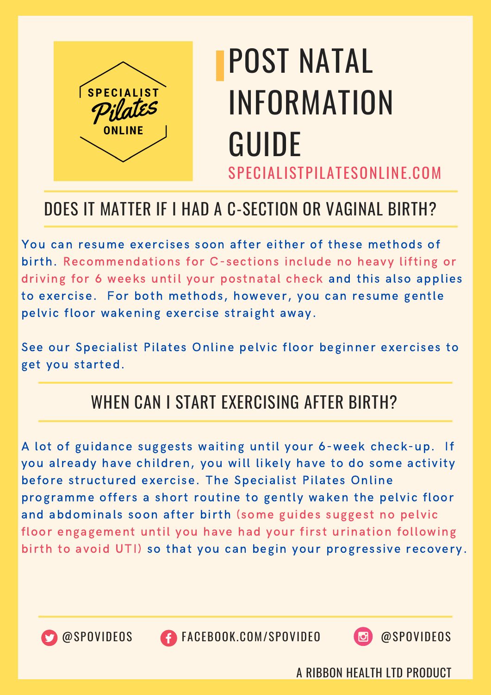

## SPECIALISTPILATESONLINE.COM POST NATAL INFORMATION GUIDE

#### DOES IT MATTER IF I HAD A C-SECTION OR VAGINAL BIRTH?

You can resume exercises soon after either of these methods of birth. Recommendations for C-sections include no heavy lifting or driving for 6 weeks until your postnatal check and this also applies to exercise. For both methods, however, you can resume gentle pelvic floor wakening exercise straight away.

See our Specialist Pilates Online pelvic floor beginner exercises to get you started.

#### WHEN CAN I START EXERCISING AFTER BIRTH?

A lot of guidance suggests waiting until your 6-week check-up. If you already have children, you will likely have to do some activity before structured exercise. The Specialist Pilates Online programme offers a short routine to gently waken the pelvic floor and abdominals soon after birth (some guides suggest no pelvic floor engagement until you have had your first urination following birth to avoid UTI) so that you can begin your progressive recovery.



@SPOVIDEOS FACEBOOK.COM/SPOVIDEO @SPOVIDEOS